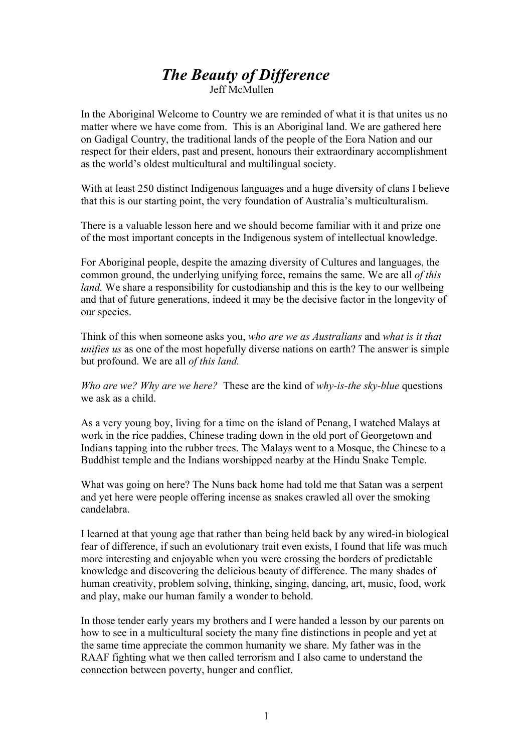## *The Beauty of Difference* Jeff McMullen

In the Aboriginal Welcome to Country we are reminded of what it is that unites us no matter where we have come from. This is an Aboriginal land. We are gathered here on Gadigal Country, the traditional lands of the people of the Eora Nation and our respect for their elders, past and present, honours their extraordinary accomplishment as the world's oldest multicultural and multilingual society.

With at least 250 distinct Indigenous languages and a huge diversity of clans I believe that this is our starting point, the very foundation of Australia's multiculturalism.

There is a valuable lesson here and we should become familiar with it and prize one of the most important concepts in the Indigenous system of intellectual knowledge.

For Aboriginal people, despite the amazing diversity of Cultures and languages, the common ground, the underlying unifying force, remains the same. We are all *of this land.* We share a responsibility for custodianship and this is the key to our wellbeing and that of future generations, indeed it may be the decisive factor in the longevity of our species.

Think of this when someone asks you, *who are we as Australians* and *what is it that unifies us* as one of the most hopefully diverse nations on earth? The answer is simple but profound. We are all *of this land.*

*Who are we? Why are we here?* These are the kind of *why-is-the sky-blue* questions we ask as a child.

As a very young boy, living for a time on the island of Penang, I watched Malays at work in the rice paddies, Chinese trading down in the old port of Georgetown and Indians tapping into the rubber trees. The Malays went to a Mosque, the Chinese to a Buddhist temple and the Indians worshipped nearby at the Hindu Snake Temple.

What was going on here? The Nuns back home had told me that Satan was a serpent and yet here were people offering incense as snakes crawled all over the smoking candelabra.

I learned at that young age that rather than being held back by any wired-in biological fear of difference, if such an evolutionary trait even exists, I found that life was much more interesting and enjoyable when you were crossing the borders of predictable knowledge and discovering the delicious beauty of difference. The many shades of human creativity, problem solving, thinking, singing, dancing, art, music, food, work and play, make our human family a wonder to behold.

In those tender early years my brothers and I were handed a lesson by our parents on how to see in a multicultural society the many fine distinctions in people and yet at the same time appreciate the common humanity we share. My father was in the RAAF fighting what we then called terrorism and I also came to understand the connection between poverty, hunger and conflict.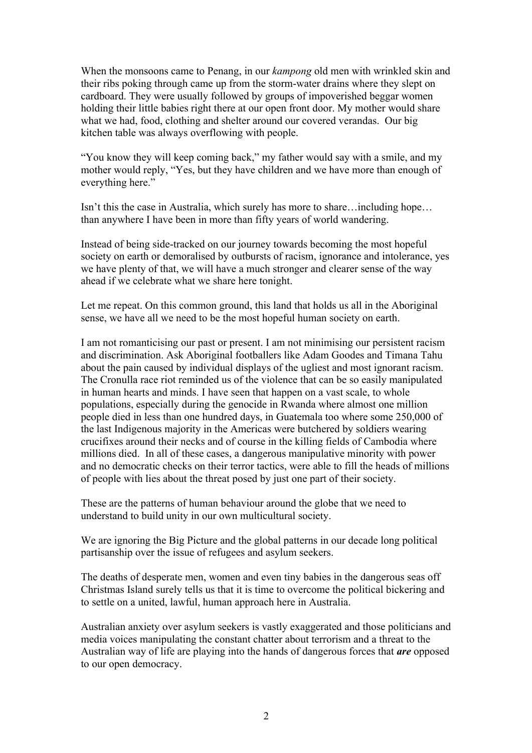When the monsoons came to Penang, in our *kampong* old men with wrinkled skin and their ribs poking through came up from the storm-water drains where they slept on cardboard. They were usually followed by groups of impoverished beggar women holding their little babies right there at our open front door. My mother would share what we had, food, clothing and shelter around our covered verandas. Our big kitchen table was always overflowing with people.

"You know they will keep coming back," my father would say with a smile, and my mother would reply, "Yes, but they have children and we have more than enough of everything here."

Isn't this the case in Australia, which surely has more to share…including hope… than anywhere I have been in more than fifty years of world wandering.

Instead of being side-tracked on our journey towards becoming the most hopeful society on earth or demoralised by outbursts of racism, ignorance and intolerance, yes we have plenty of that, we will have a much stronger and clearer sense of the way ahead if we celebrate what we share here tonight.

Let me repeat. On this common ground, this land that holds us all in the Aboriginal sense, we have all we need to be the most hopeful human society on earth.

I am not romanticising our past or present. I am not minimising our persistent racism and discrimination. Ask Aboriginal footballers like Adam Goodes and Timana Tahu about the pain caused by individual displays of the ugliest and most ignorant racism. The Cronulla race riot reminded us of the violence that can be so easily manipulated in human hearts and minds. I have seen that happen on a vast scale, to whole populations, especially during the genocide in Rwanda where almost one million people died in less than one hundred days, in Guatemala too where some 250,000 of the last Indigenous majority in the Americas were butchered by soldiers wearing crucifixes around their necks and of course in the killing fields of Cambodia where millions died. In all of these cases, a dangerous manipulative minority with power and no democratic checks on their terror tactics, were able to fill the heads of millions of people with lies about the threat posed by just one part of their society.

These are the patterns of human behaviour around the globe that we need to understand to build unity in our own multicultural society.

We are ignoring the Big Picture and the global patterns in our decade long political partisanship over the issue of refugees and asylum seekers.

The deaths of desperate men, women and even tiny babies in the dangerous seas off Christmas Island surely tells us that it is time to overcome the political bickering and to settle on a united, lawful, human approach here in Australia.

Australian anxiety over asylum seekers is vastly exaggerated and those politicians and media voices manipulating the constant chatter about terrorism and a threat to the Australian way of life are playing into the hands of dangerous forces that *are* opposed to our open democracy.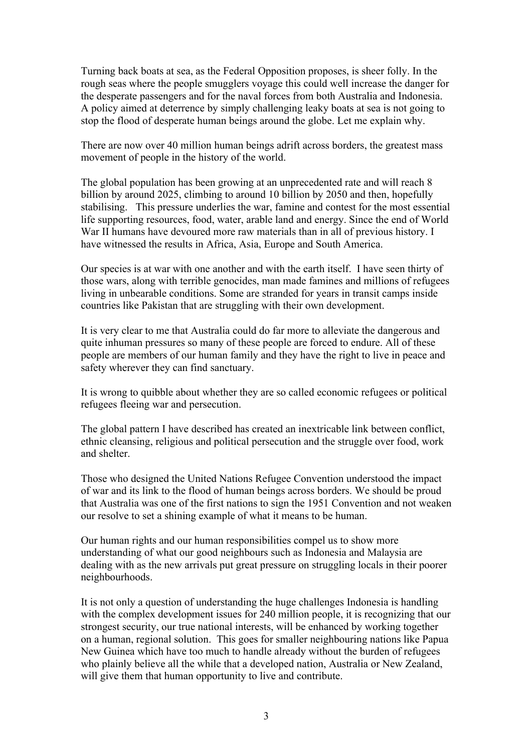Turning back boats at sea, as the Federal Opposition proposes, is sheer folly. In the rough seas where the people smugglers voyage this could well increase the danger for the desperate passengers and for the naval forces from both Australia and Indonesia. A policy aimed at deterrence by simply challenging leaky boats at sea is not going to stop the flood of desperate human beings around the globe. Let me explain why.

There are now over 40 million human beings adrift across borders, the greatest mass movement of people in the history of the world.

The global population has been growing at an unprecedented rate and will reach 8 billion by around 2025, climbing to around 10 billion by 2050 and then, hopefully stabilising. This pressure underlies the war, famine and contest for the most essential life supporting resources, food, water, arable land and energy. Since the end of World War II humans have devoured more raw materials than in all of previous history. I have witnessed the results in Africa, Asia, Europe and South America.

Our species is at war with one another and with the earth itself. I have seen thirty of those wars, along with terrible genocides, man made famines and millions of refugees living in unbearable conditions. Some are stranded for years in transit camps inside countries like Pakistan that are struggling with their own development.

It is very clear to me that Australia could do far more to alleviate the dangerous and quite inhuman pressures so many of these people are forced to endure. All of these people are members of our human family and they have the right to live in peace and safety wherever they can find sanctuary.

It is wrong to quibble about whether they are so called economic refugees or political refugees fleeing war and persecution.

The global pattern I have described has created an inextricable link between conflict, ethnic cleansing, religious and political persecution and the struggle over food, work and shelter.

Those who designed the United Nations Refugee Convention understood the impact of war and its link to the flood of human beings across borders. We should be proud that Australia was one of the first nations to sign the 1951 Convention and not weaken our resolve to set a shining example of what it means to be human.

Our human rights and our human responsibilities compel us to show more understanding of what our good neighbours such as Indonesia and Malaysia are dealing with as the new arrivals put great pressure on struggling locals in their poorer neighbourhoods.

It is not only a question of understanding the huge challenges Indonesia is handling with the complex development issues for 240 million people, it is recognizing that our strongest security, our true national interests, will be enhanced by working together on a human, regional solution. This goes for smaller neighbouring nations like Papua New Guinea which have too much to handle already without the burden of refugees who plainly believe all the while that a developed nation, Australia or New Zealand, will give them that human opportunity to live and contribute.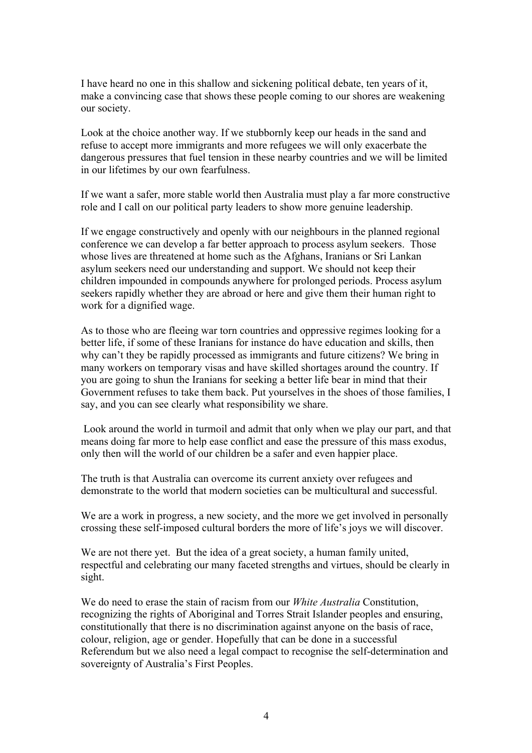I have heard no one in this shallow and sickening political debate, ten years of it, make a convincing case that shows these people coming to our shores are weakening our society.

Look at the choice another way. If we stubbornly keep our heads in the sand and refuse to accept more immigrants and more refugees we will only exacerbate the dangerous pressures that fuel tension in these nearby countries and we will be limited in our lifetimes by our own fearfulness.

If we want a safer, more stable world then Australia must play a far more constructive role and I call on our political party leaders to show more genuine leadership.

If we engage constructively and openly with our neighbours in the planned regional conference we can develop a far better approach to process asylum seekers. Those whose lives are threatened at home such as the Afghans, Iranians or Sri Lankan asylum seekers need our understanding and support. We should not keep their children impounded in compounds anywhere for prolonged periods. Process asylum seekers rapidly whether they are abroad or here and give them their human right to work for a dignified wage.

As to those who are fleeing war torn countries and oppressive regimes looking for a better life, if some of these Iranians for instance do have education and skills, then why can't they be rapidly processed as immigrants and future citizens? We bring in many workers on temporary visas and have skilled shortages around the country. If you are going to shun the Iranians for seeking a better life bear in mind that their Government refuses to take them back. Put yourselves in the shoes of those families, I say, and you can see clearly what responsibility we share.

Look around the world in turmoil and admit that only when we play our part, and that means doing far more to help ease conflict and ease the pressure of this mass exodus, only then will the world of our children be a safer and even happier place.

The truth is that Australia can overcome its current anxiety over refugees and demonstrate to the world that modern societies can be multicultural and successful.

We are a work in progress, a new society, and the more we get involved in personally crossing these self-imposed cultural borders the more of life's joys we will discover.

We are not there yet. But the idea of a great society, a human family united, respectful and celebrating our many faceted strengths and virtues, should be clearly in sight.

We do need to erase the stain of racism from our *White Australia* Constitution, recognizing the rights of Aboriginal and Torres Strait Islander peoples and ensuring, constitutionally that there is no discrimination against anyone on the basis of race, colour, religion, age or gender. Hopefully that can be done in a successful Referendum but we also need a legal compact to recognise the self-determination and sovereignty of Australia's First Peoples.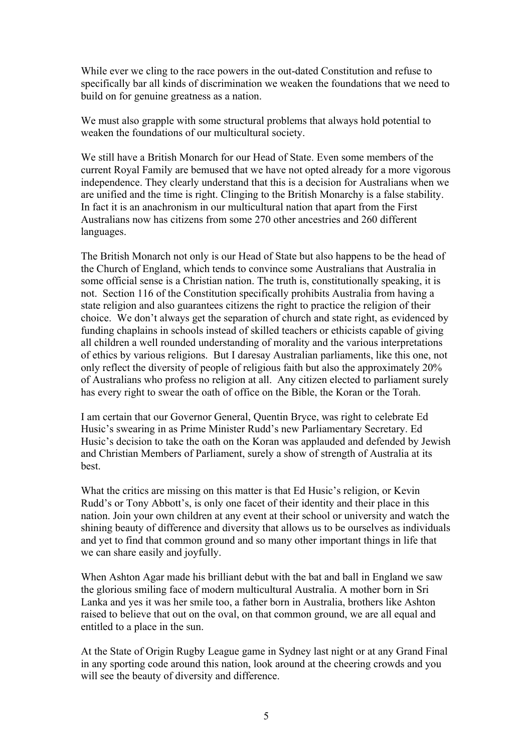While ever we cling to the race powers in the out-dated Constitution and refuse to specifically bar all kinds of discrimination we weaken the foundations that we need to build on for genuine greatness as a nation.

We must also grapple with some structural problems that always hold potential to weaken the foundations of our multicultural society.

We still have a British Monarch for our Head of State. Even some members of the current Royal Family are bemused that we have not opted already for a more vigorous independence. They clearly understand that this is a decision for Australians when we are unified and the time is right. Clinging to the British Monarchy is a false stability. In fact it is an anachronism in our multicultural nation that apart from the First Australians now has citizens from some 270 other ancestries and 260 different languages.

The British Monarch not only is our Head of State but also happens to be the head of the Church of England, which tends to convince some Australians that Australia in some official sense is a Christian nation. The truth is, constitutionally speaking, it is not. Section 116 of the Constitution specifically prohibits Australia from having a state religion and also guarantees citizens the right to practice the religion of their choice. We don't always get the separation of church and state right, as evidenced by funding chaplains in schools instead of skilled teachers or ethicists capable of giving all children a well rounded understanding of morality and the various interpretations of ethics by various religions. But I daresay Australian parliaments, like this one, not only reflect the diversity of people of religious faith but also the approximately 20% of Australians who profess no religion at all. Any citizen elected to parliament surely has every right to swear the oath of office on the Bible, the Koran or the Torah.

I am certain that our Governor General, Quentin Bryce, was right to celebrate Ed Husic's swearing in as Prime Minister Rudd's new Parliamentary Secretary. Ed Husic's decision to take the oath on the Koran was applauded and defended by Jewish and Christian Members of Parliament, surely a show of strength of Australia at its best.

What the critics are missing on this matter is that Ed Husic's religion, or Kevin Rudd's or Tony Abbott's, is only one facet of their identity and their place in this nation. Join your own children at any event at their school or university and watch the shining beauty of difference and diversity that allows us to be ourselves as individuals and yet to find that common ground and so many other important things in life that we can share easily and joyfully.

When Ashton Agar made his brilliant debut with the bat and ball in England we saw the glorious smiling face of modern multicultural Australia. A mother born in Sri Lanka and yes it was her smile too, a father born in Australia, brothers like Ashton raised to believe that out on the oval, on that common ground, we are all equal and entitled to a place in the sun.

At the State of Origin Rugby League game in Sydney last night or at any Grand Final in any sporting code around this nation, look around at the cheering crowds and you will see the beauty of diversity and difference.